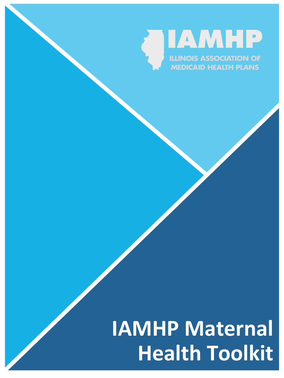

# **IAMHP Maternal Health Toolkit**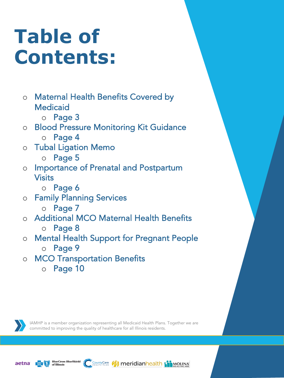# **Table of Contents:**

- o Maternal Health Benefits Covered by Medicaid
	- o Page 3

### o Blood Pressure Monitoring Kit Guidance o Page 4

- 
- o Tubal Ligation Memo
	- o Page 5
- o Importance of Prenatal and Postpartum Visits
	- o Page 6
- o Family Planning Services
	- o Page 7
- o Additional MCO Maternal Health Benefits o Page 8
- o Mental Health Support for Pregnant People
	- o Page 9
- o MCO Transportation Benefits
	- o Page 10

IAMHP is a member organization representing all Medicaid Health Plans. Together we are committed to improving the quality of healthcare for all Illinois residents.

**I** meridianhealth the Mouna



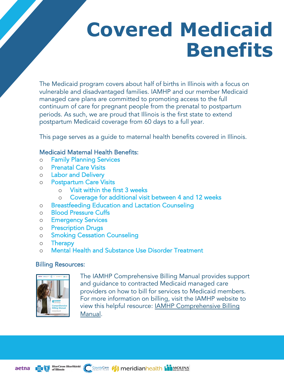# **Covered Medicaid Benefits**

The Medicaid program covers about half of births in Illinois with a focus on vulnerable and disadvantaged families. IAMHP and our member Medicaid managed care plans are committed to promoting access to the full continuum of care for pregnant people from the prenatal to postpartum periods. As such, we are proud that Illinois is the first state to extend postpartum Medicaid coverage from 60 days to a full year.

This page serves as a guide to maternal health benefits covered in Illinois.

### Medicaid Maternal Health Benefits:

- o Family Planning Services
- o Prenatal Care Visits
- o Labor and Delivery
- o Postpartum Care Visits
	- o Visit within the first 3 weeks
	- o Coverage for additional visit between 4 and 12 weeks
- o Breastfeeding Education and Lactation Counseling
- o Blood Pressure Cuffs
- o Emergency Services
- o Prescription Drugs
- o Smoking Cessation Counseling
- o Therapy
- o Mental Health and Substance Use Disorder Treatment

### Billing Resources:



[The IAMHP Comprehensive Billing Manual provides supp](https://iamhp.net/resources/Documents/IAMHP_Billing-Manual_v24-5.pdf)ort and guidance to contracted Medicaid managed care providers on how to bill for services to Medicaid members. For more information on billing, visit the IAMHP website to view this helpful resource: IAMHP Comprehensive Billing Manual.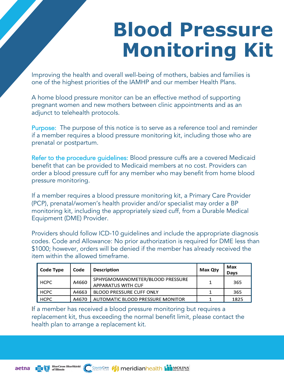### **Blood Pressure Monitoring Kit**

Improving the health and overall well-being of mothers, babies and families is one of the highest priorities of the IAMHP and our member Health Plans.

A home blood pressure monitor can be an effective method of supporting pregnant women and new mothers between clinic appointments and as an adjunct to telehealth protocols.

Purpose: The purpose of this notice is to serve as a reference tool and reminder if a member requires a blood pressure monitoring kit, including those who are prenatal or postpartum.

Refer to the procedure guidelines: Blood pressure cuffs are a covered Medicaid benefit that can be provided to Medicaid members at no cost. Providers can order a blood pressure cuff for any member who may benefit from home blood pressure monitoring.

If a member requires a blood pressure monitoring kit, a Primary Care Provider (PCP), prenatal/women's health provider and/or specialist may order a BP monitoring kit, including the appropriately sized cuff, from a Durable Medical Equipment (DME) Provider.

Providers should follow ICD-10 guidelines and include the appropriate diagnosis codes. Code and Allowance: No prior authorization is required for DME less than \$1000; however, orders will be denied if the member has already received the item within the allowed timeframe.

| <b>Code Type</b> | Code  | <b>Description</b>                                           | <b>Max Qtv</b> | Max<br>Days |
|------------------|-------|--------------------------------------------------------------|----------------|-------------|
| <b>HCPC</b>      | A4660 | SPHYGMOMANOMETER/BLOOD PRESSURE<br><b>APPARATUS WITH CUF</b> |                | 365         |
| HCPC             | A4663 | <b>BLOOD PRESSURE CUFF ONLY</b>                              |                | 365         |
| <b>HCPC</b>      | A4670 | AUTOMATIC BLOOD PRESSURE MONITOR                             |                | 1825        |

If a member has received a blood pressure monitoring but requires a replacement kit, thus exceeding the normal benefit limit, please contact the health plan to arrange a replacement kit.

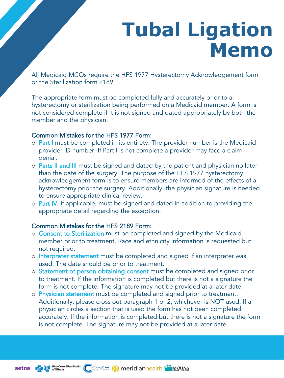### **Tubal Ligation Memo**

All Medicaid MCOs require the HFS 1977 Hysterectomy Acknowledgement form or the Sterilization form 2189.

The appropriate form must be completed fully and accurately prior to a hysterectomy or sterilization being performed on a Medicaid member. A form is not considered complete if it is not signed and dated appropriately by both the member and the physician.

#### Common Mistakes for the HFS 1977 Form:

- o Part I must be completed in its entirety. The provider number is the Medicaid provider ID number. If Part I is not complete a provider may face a claim denial.
- o Parts II and III must be signed and dated by the patient and physician no later than the date of the surgery. The purpose of the HFS 1977 hysterectomy acknowledgement form is to ensure members are informed of the effects of a hysterectomy prior the surgery. Additionally, the physician signature is needed to ensure appropriate clinical review.
- o **Part IV**, if applicable, must be signed and dated in addition to providing the appropriate detail regarding the exception.

### Common Mistakes for the HFS 2189 Form:

- o Consent to Sterilization must be completed and signed by the Medicaid member prior to treatment. Race and ethnicity information is requested but not required.
- o Interpreter statement must be completed and signed if an interpreter was used. The date should be prior to treatment.
- o Statement of person obtaining consent must be completed and signed prior to treatment. If the information is completed but there is not a signature the form is not complete. The signature may not be provided at a later date.
- o Physician statement must be completed and signed prior to treatment. Additionally, please cross out paragraph 1 or 2, whichever is NOT used. If a physician circles a section that is used the form has not been completed accurately. If the information is completed but there is not a signature the form is not complete. The signature may not be provided at a later date.

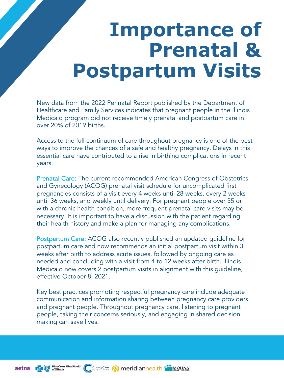### **Importance of Prenatal & Postpartum Visits**

New data from the 2022 Perinatal Report published by the Department of Healthcare and Family Services indicates that pregnant people in the Illinois Medicaid program did not receive timely prenatal and postpartum care in over 20% of 2019 births.

Access to the full continuum of care throughout pregnancy is one of the best ways to improve the chances of a safe and healthy pregnancy. Delays in this essential care have contributed to a rise in birthing complications in recent years.

Prenatal Care: The current recommended American Congress of Obstetrics and Gynecology (ACOG) prenatal visit schedule for uncomplicated first pregnancies consists of a visit every 4 weeks until 28 weeks, every 2 weeks until 36 weeks, and weekly until delivery. For pregnant people over 35 or with a chronic health condition, more frequent prenatal care visits may be necessary. It is important to have a discussion with the patient regarding their health history and make a plan for managing any complications.

Postpartum Care: ACOG also recently published an updated guideline for postpartum care and now recommends an initial postpartum visit within 3 weeks after birth to address acute issues, followed by ongoing care as needed and concluding with a visit from 4 to 12 weeks after birth. Illinois Medicaid now covers 2 postpartum visits in alignment with this guideline, effective October 8, 2021.

Key best practices promoting respectful pregnancy care include adequate communication and information sharing between pregnancy care providers and pregnant people. Throughout pregnancy care, listening to pregnant people, taking their concerns seriously, and engaging in shared decision making can save lives.

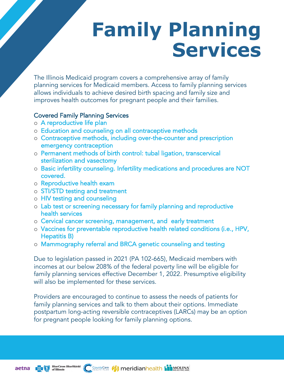# **Family Planning Services**

The Illinois Medicaid program covers a comprehensive array of family planning services for Medicaid members. Access to family planning services allows individuals to achieve desired birth spacing and family size and improves health outcomes for pregnant people and their families.

### Covered Family Planning Services

- o A reproductive life plan
- o Education and counseling on all contraceptive methods
- o Contraceptive methods, including over-the-counter and prescription emergency contraception
- o Permanent methods of birth control: tubal ligation, transcervical sterilization and vasectomy
- o Basic infertility counseling. Infertility medications and procedures are NOT covered.
- o Reproductive health exam
- o STI/STD testing and treatment
- o HIV testing and counseling
- o Lab test or screening necessary for family planning and reproductive health services
- o Cervical cancer screening, management, and early treatment
- o Vaccines for preventable reproductive health related conditions (i.e., HPV, Hepatitis B)
- o Mammography referral and BRCA genetic counseling and testing

Due to legislation passed in 2021 (PA 102-665), Medicaid members with incomes at our below 208% of the federal poverty line will be eligible for family planning services effective December 1, 2022. Presumptive eligibility will also be implemented for these services.

Providers are encouraged to continue to assess the needs of patients for family planning services and talk to them about their options. Immediate postpartum long-acting reversible contraceptives (LARCs) may be an option for pregnant people looking for family planning options.



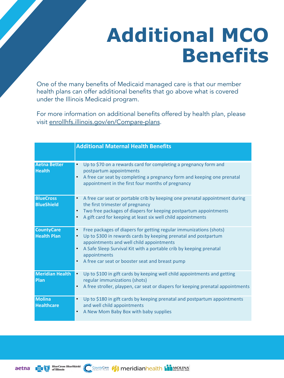# **Additional MCO Benefits**

One [of the many benefits of Medicaid mana](https://enrollhfs.illinois.gov/en/Compare-plans)ged care is that our member health plans can offer additional benefits that go above what is covered under the Illinois Medicaid program.

For more information on additional benefits offered by health plan, please visit enrollhfs.illinois.gov/en/Compare-plans.

|                                         | <b>Additional Maternal Health Benefits</b>                                                                                                                                                                                                                                                                                              |
|-----------------------------------------|-----------------------------------------------------------------------------------------------------------------------------------------------------------------------------------------------------------------------------------------------------------------------------------------------------------------------------------------|
| <b>Aetna Better</b><br><b>Health</b>    | Up to \$70 on a rewards card for completing a pregnancy form and<br>postpartum appointments<br>A free car seat by completing a pregnancy form and keeping one prenatal<br>$\bullet$<br>appointment in the first four months of pregnancy                                                                                                |
| <b>BlueCross</b><br><b>BlueShield</b>   | A free car seat or portable crib by keeping one prenatal appointment during<br>$\bullet$<br>the first trimester of pregnancy<br>Two free packages of diapers for keeping postpartum appointments<br>$\bullet$<br>A gift card for keeping at least six well child appointments                                                           |
| <b>CountyCare</b><br><b>Health Plan</b> | Free packages of diapers for getting regular immunizations (shots)<br>$\bullet$<br>Up to \$300 in rewards cards by keeping prenatal and postpartum<br>appointments and well child appointments<br>A Safe Sleep Survival Kit with a portable crib by keeping prenatal<br>appointments<br>A free car seat or booster seat and breast pump |
| <b>Meridian Health</b><br>Plan          | Up to \$100 in gift cards by keeping well child appointments and getting<br>$\bullet$<br>regular immunizations (shots)<br>A free stroller, playpen, car seat or diapers for keeping prenatal appointments<br>$\bullet$                                                                                                                  |
| <b>Molina</b><br><b>Healthcare</b>      | Up to \$180 in gift cards by keeping prenatal and postpartum appointments<br>$\bullet$<br>and well child appointments<br>A New Mom Baby Box with baby supplies<br>$\bullet$                                                                                                                                                             |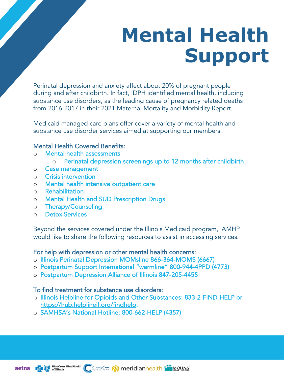# **Mental Health Support**

Perinatal depression and anxiety affect about 20% of pregnant people during and after childbirth. In fact, IDPH identified mental health, including substance use disorders, as the leading cause of pregnancy related deaths from 2016-2017 in their 2021 Maternal Mortality and Morbidity Report.

Medicaid managed care plans offer cover a variety of mental health and substance use disorder services aimed at supporting our members.

### Mental Health Covered Benefits:

- o Mental health assessments
	- o Perinatal depression screenings up to 12 months after childbirth
- o Case management
- o Crisis intervention
- o Mental health intensive outpatient care
- o Rehabilitation
- o Mental Health and SUD Prescription Drugs
- o Therapy/Counseling
- o Detox Services

Beyond the services covered under the Illinois Medicaid program, IAMHP would like to share the following resources to assist in accessing services.

### For help with depression or other mental health concerns:

- o Illinois Perinatal Depression MOMsline 866-364-MOMS (6667)
- o [Postpartum Support International "](https://hub.helplineil.org/findhelp)warmline" 800-944-4PPD (4773)
- o Postpartum Depression Alliance of Illinois 847-205-4455

#### To find treatment for substance use disorders:

- o Illinois Helpline for Opioids and Other Substances: 833-2-FIND-HELP or https://hub.helplineil.org/findhelp.
- o SAMHSA's National Hotline: 800-662-HELP (4357)